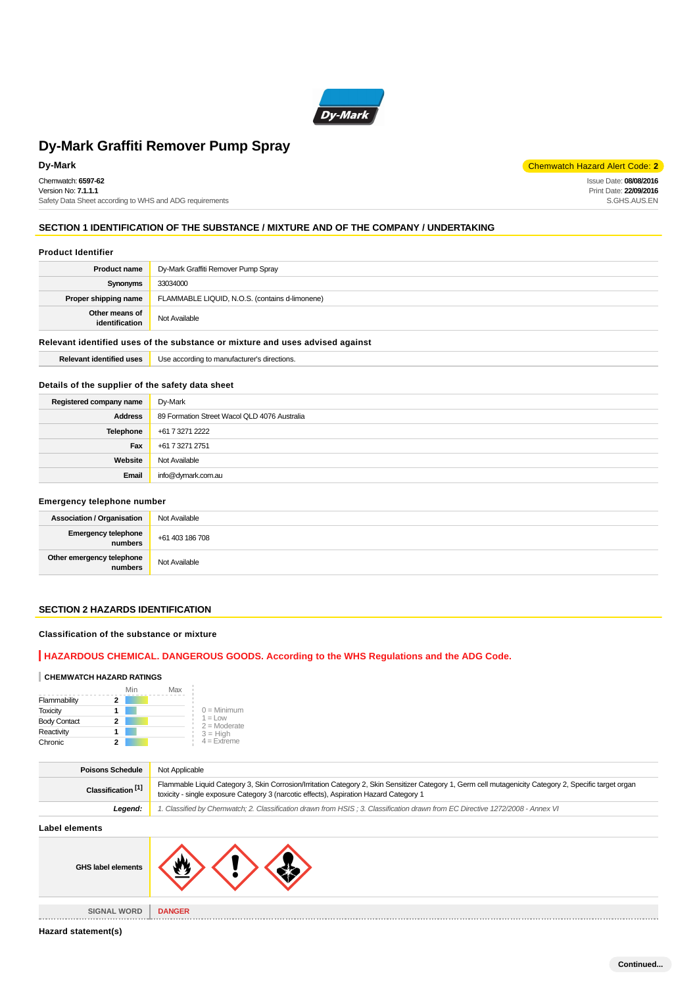

Chemwatch: **6597-62** Version No: **7.1.1.1** Safety Data Sheet according to WHS and ADG requirements

**Dy-Mark** Chemwatch Hazard Alert Code: 2 Issue Date: **08/08/2016**

Print Date: **22/09/2016** S.GHS.AUS.EN

# **SECTION 1 IDENTIFICATION OF THE SUBSTANCE / MIXTURE AND OF THE COMPANY / UNDERTAKING**

#### **Product Identifier**

| <b>Product name</b>                                                           | Dy-Mark Graffiti Remover Pump Spray            |  |
|-------------------------------------------------------------------------------|------------------------------------------------|--|
| Synonyms                                                                      | 33034000                                       |  |
| Proper shipping name                                                          | FLAMMABLE LIQUID, N.O.S. (contains d-limonene) |  |
| Other means of<br>identification                                              | Not Available                                  |  |
| Relevant identified uses of the substance or mixture and uses advised against |                                                |  |

# **Relevant identified uses** Use according to manufacturer's directions.

## **Details of the supplier of the safety data sheet**

| Registered company name | Dy-Mark                                      |
|-------------------------|----------------------------------------------|
| <b>Address</b>          | 89 Formation Street Wacol QLD 4076 Australia |
| <b>Telephone</b>        | +61 7 3271 2222                              |
| Fax                     | +61 7 3271 2751                              |
| Website                 | Not Available                                |
| Email                   | info@dymark.com.au                           |

#### **Emergency telephone number**

| <b>Association / Organisation</b>    | Not Available   |  |
|--------------------------------------|-----------------|--|
| Emergency telephone<br>numbers       | +61 403 186 708 |  |
| Other emergency telephone<br>numbers | Not Available   |  |

# **SECTION 2 HAZARDS IDENTIFICATION**

## **Classification of the substance or mixture**

# **HAZARDOUS CHEMICAL. DANGEROUS GOODS. According to the WHS Regulations and the ADG Code.**

## **CHEMWATCH HAZARD RATINGS**

|                     | Min | Max |                                    |
|---------------------|-----|-----|------------------------------------|
| Flammability        |     |     |                                    |
| <b>Toxicity</b>     |     |     | $0 =$ Minimum                      |
| <b>Body Contact</b> | 2   |     | $1 = 1$ $\Omega$<br>$2 =$ Moderate |
| Reactivity          |     |     | $3 = High$                         |
| Chronic             |     |     | $4$ = Extreme                      |

| <b>Poisons Schedule</b>       | Not Applicable                                                                                                                                                                                                                                    |  |
|-------------------------------|---------------------------------------------------------------------------------------------------------------------------------------------------------------------------------------------------------------------------------------------------|--|
| Classification <sup>[1]</sup> | Flammable Liquid Category 3, Skin Corrosion/Irritation Category 2, Skin Sensitizer Category 1, Germ cell mutagenicity Category 2, Specific target organ<br>toxicity - single exposure Category 3 (narcotic effects), Aspiration Hazard Category 1 |  |
| Leaend:                       | 1. Classified by Chemwatch; 2. Classification drawn from HSIS; 3. Classification drawn from EC Directive 1272/2008 - Annex VI                                                                                                                     |  |
|                               |                                                                                                                                                                                                                                                   |  |

| Label elements                      |                                 |  |
|-------------------------------------|---------------------------------|--|
| GHS label elements                  |                                 |  |
| <b>SIGNAL WORD</b><br>------------- | <b>DANGER</b><br>2012/01/21 22: |  |
|                                     |                                 |  |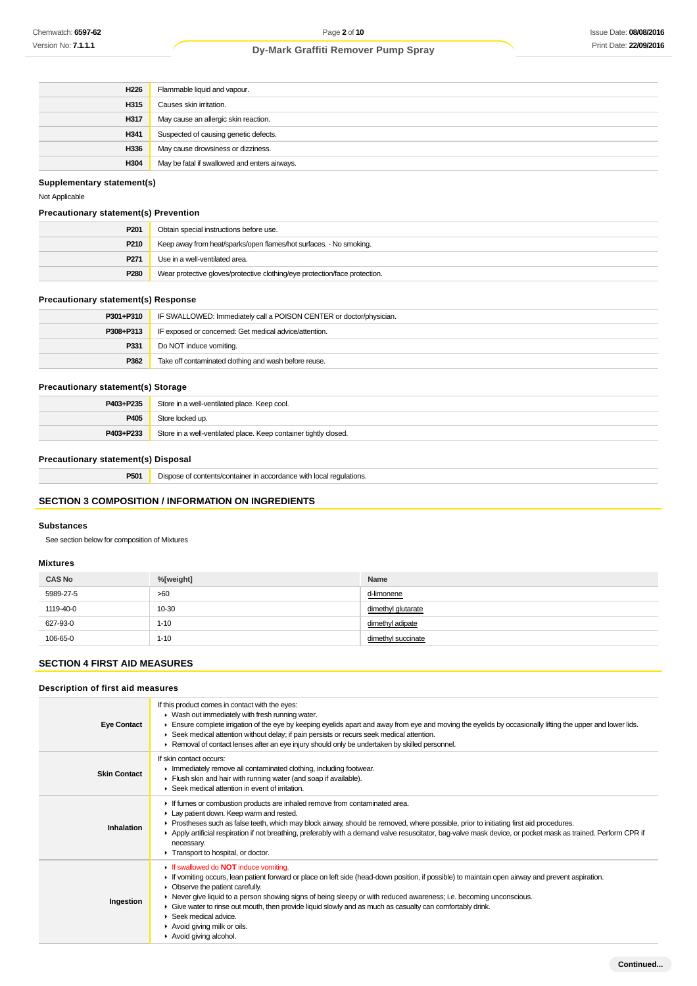| H226 | Flammable liquid and vapour.                  |
|------|-----------------------------------------------|
| H315 | Causes skin irritation.                       |
| H317 | May cause an allergic skin reaction.          |
| H341 | Suspected of causing genetic defects.         |
| H336 | May cause drowsiness or dizziness.            |
| H304 | May be fatal if swallowed and enters airways. |

# **Supplementary statement(s)**

Not Applicable

## **Precautionary statement(s) Prevention**

| P <sub>201</sub> | Obtain special instructions before use.                                    |  |
|------------------|----------------------------------------------------------------------------|--|
| P210             | Keep away from heat/sparks/open flames/hot surfaces. - No smoking.         |  |
| P <sub>271</sub> | Use in a well-ventilated area.                                             |  |
| P280             | Wear protective gloves/protective clothing/eye protection/face protection. |  |

# **Precautionary statement(s) Response**

| P301+P310 | IF SWALLOWED: Immediately call a POISON CENTER or doctor/physician. |  |
|-----------|---------------------------------------------------------------------|--|
| P308+P313 | IF exposed or concerned: Get medical advice/attention.              |  |
| P331      | Do NOT induce vomiting.                                             |  |
| P362      | Take off contaminated clothing and wash before reuse.               |  |

## **Precautionary statement(s) Storage**

| P403+P235 | Store in a well-ventilated place. Keep cool.                     |
|-----------|------------------------------------------------------------------|
| P405      | Store locked up.                                                 |
| P403+P233 | Store in a well-ventilated place. Keep container tightly closed. |

# **Precautionary statement(s) Disposal**

| P501 | Dispose of contents/container in accordance with local regulations. |
|------|---------------------------------------------------------------------|
|      |                                                                     |

# **SECTION 3 COMPOSITION / INFORMATION ON INGREDIENTS**

# **Substances**

See section below for composition of Mixtures

## **Mixtures**

| <b>CAS No</b> | %[weight] | Name               |
|---------------|-----------|--------------------|
| 5989-27-5     | >60       | d-limonene         |
| 1119-40-0     | 10-30     | dimethyl glutarate |
| 627-93-0      | $1 - 10$  | dimethyl adipate   |
| 106-65-0      | $1 - 10$  | dimethyl succinate |

# **SECTION 4 FIRST AID MEASURES**

# **Description of first aid measures**

| <b>Eye Contact</b>  | If this product comes in contact with the eyes:<br>▶ Wash out immediately with fresh running water.<br>Ensure complete irrigation of the eye by keeping eyelids apart and away from eye and moving the eyelids by occasionally lifting the upper and lower lids.<br>▶ Seek medical attention without delay; if pain persists or recurs seek medical attention.<br>▶ Removal of contact lenses after an eye injury should only be undertaken by skilled personnel.                                                                                       |
|---------------------|---------------------------------------------------------------------------------------------------------------------------------------------------------------------------------------------------------------------------------------------------------------------------------------------------------------------------------------------------------------------------------------------------------------------------------------------------------------------------------------------------------------------------------------------------------|
| <b>Skin Contact</b> | If skin contact occurs:<br>Inmediately remove all contaminated clothing, including footwear.<br>Flush skin and hair with running water (and soap if available).<br>▶ Seek medical attention in event of irritation.                                                                                                                                                                                                                                                                                                                                     |
| Inhalation          | If fumes or combustion products are inhaled remove from contaminated area.<br>Lay patient down. Keep warm and rested.<br>► Prostheses such as false teeth, which may block airway, should be removed, where possible, prior to initiating first aid procedures.<br>▶ Apply artificial respiration if not breathing, preferably with a demand valve resuscitator, bag-valve mask device, or pocket mask as trained. Perform CPR if<br>necessary.<br>Transport to hospital, or doctor.                                                                    |
| Ingestion           | If swallowed do <b>NOT</b> induce vomiting.<br>If vomiting occurs, lean patient forward or place on left side (head-down position, if possible) to maintain open airway and prevent aspiration.<br>• Observe the patient carefully.<br>► Never give liquid to a person showing signs of being sleepy or with reduced awareness; i.e. becoming unconscious.<br>• Give water to rinse out mouth, then provide liquid slowly and as much as casualty can comfortably drink.<br>Seek medical advice.<br>Avoid giving milk or oils.<br>Avoid giving alcohol. |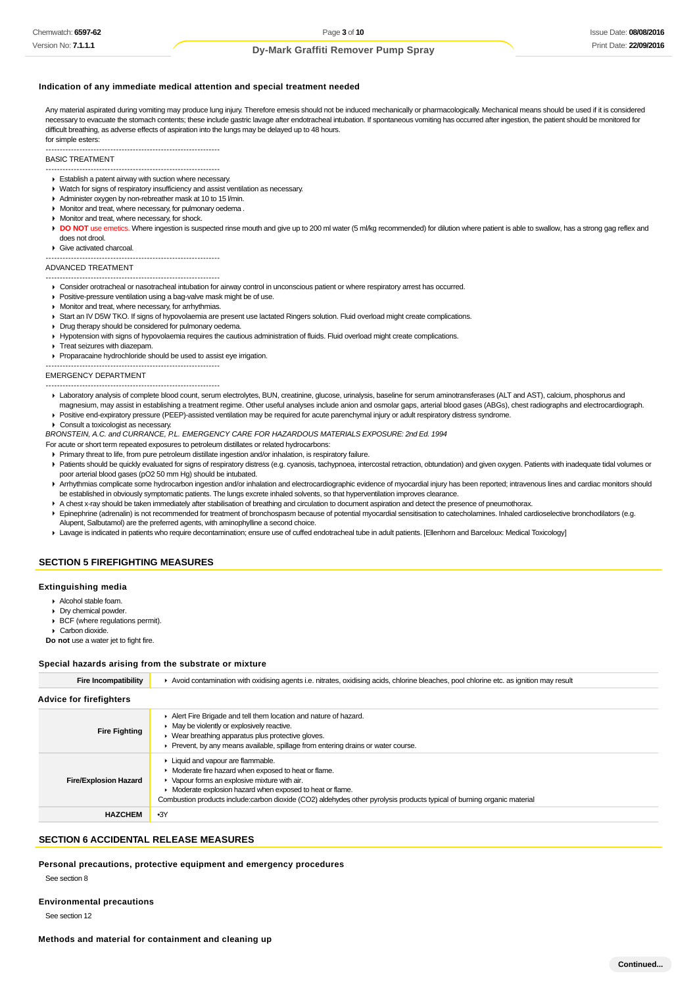## **Indication of any immediate medical attention and special treatment needed**

Any material aspirated during vomiting may produce lung injury. Therefore emesis should not be induced mechanically or pharmacologically. Mechanical means should be used if it is considered necessary to evacuate the stomach contents; these include gastric lavage after endotracheal intubation. If spontaneous vomiting has occurred after ingestion, the patient should be monitored for difficult breathing, as adverse effects of aspiration into the lungs may be delayed up to 48 hours. for simple esters:

#### -------------------------------------------------------------- BASIC TREATMENT

- --------------------------------------------------------------
- Establish a patent airway with suction where necessary.
- Watch for signs of respiratory insufficiency and assist ventilation as necessary.
- Administer oxygen by non-rebreather mask at 10 to 15 l/min.
- Monitor and treat, where necessary, for pulmonary oedema .
- **Monitor and treat, where necessary, for shock.**
- **DO NOT** use emetics. Where ingestion is suspected rinse mouth and give up to 200 ml water (5 ml/kg recommended) for dilution where patient is able to swallow, has a strong gag reflex and does not drool.

#### Give activated charcoal.

--------------------------------------------------------------

#### ADVANCED TREATMENT

- -------------------------------------------------------------- Consider orotracheal or nasotracheal intubation for airway control in unconscious patient or where respiratory arrest has occurred.
- **Positive-pressure ventilation using a bag-valve mask might be of use.**
- **Monitor and treat, where necessary, for arrhythmias.**
- ▶ Start an IV D5W TKO. If signs of hypovolaemia are present use lactated Ringers solution. Fluid overload might create complications.
- Drug therapy should be considered for pulmonary oedema.
- Hypotension with signs of hypovolaemia requires the cautious administration of fluids. Fluid overload might create complications.
- **F** Treat seizures with diazepam.
- Proparacaine hydrochloride should be used to assist eye irrigation.

-------------------------------------------------------------- EMERGENCY DEPARTMENT

- --------------------------------------------------------------
- Laboratory analysis of complete blood count, serum electrolytes, BUN, creatinine, glucose, urinalysis, baseline for serum aminotransferases (ALT and AST), calcium, phosphorus and magnesium, may assist in establishing a treatment regime. Other useful analyses include anion and osmolar gaps, arterial blood gases (ABGs), chest radiographs and electrocardiograph.
- Positive end-expiratory pressure (PEEP)-assisted ventilation may be required for acute parenchymal injury or adult respiratory distress syndrome.
- ▶ Consult a toxicologist as necessary.

BRONSTEIN, A.C. and CURRANCE, P.L. EMERGENCY CARE FOR HAZARDOUS MATERIALS EXPOSURE: 2nd Ed. 1994

- For acute or short term repeated exposures to petroleum distillates or related hydrocarbons:
	- Primary threat to life, from pure petroleum distillate ingestion and/or inhalation, is respiratory failure.
	- Patients should be quickly evaluated for signs of respiratory distress (e.g. cyanosis, tachypnoea, intercostal retraction, obtundation) and given oxygen. Patients with inadequate tidal volumes or poor arterial blood gases (pO2 50 mm Hg) should be intubated.
	- Arrhythmias complicate some hydrocarbon ingestion and/or inhalation and electrocardiographic evidence of myocardial injury has been reported; intravenous lines and cardiac monitors should be established in obviously symptomatic patients. The lungs excrete inhaled solvents, so that hyperventilation improves clearance.
	- A chest x-ray should be taken immediately after stabilisation of breathing and circulation to document aspiration and detect the presence of pneumothorax.
- Epinephrine (adrenalin) is not recommended for treatment of bronchospasm because of potential myocardial sensitisation to catecholamines. Inhaled cardioselective bronchodilators (e.g. Alupent, Salbutamol) are the preferred agents, with aminophylline a second choice.
- Lavage is indicated in patients who require decontamination; ensure use of cuffed endotracheal tube in adult patients. [Ellenhorn and Barceloux: Medical Toxicology]

## **SECTION 5 FIREFIGHTING MEASURES**

## **Extinguishing media**

- Alcohol stable foam.
- Dry chemical powder
- BCF (where regulations permit). Carbon dioxide

**Do not** use a water jet to fight fire.

#### **Special hazards arising from the substrate or mixture**

| <b>Fire Incompatibility</b>    | Avoid contamination with oxidising agents i.e. nitrates, oxidising acids, chlorine bleaches, pool chlorine etc. as ignition may result                                                                                                                                                                                                |  |  |
|--------------------------------|---------------------------------------------------------------------------------------------------------------------------------------------------------------------------------------------------------------------------------------------------------------------------------------------------------------------------------------|--|--|
| <b>Advice for firefighters</b> |                                                                                                                                                                                                                                                                                                                                       |  |  |
| <b>Fire Fighting</b>           | Alert Fire Brigade and tell them location and nature of hazard.<br>• May be violently or explosively reactive.<br>• Wear breathing apparatus plus protective gloves.<br>• Prevent, by any means available, spillage from entering drains or water course.                                                                             |  |  |
| <b>Fire/Explosion Hazard</b>   | • Liquid and vapour are flammable.<br>• Moderate fire hazard when exposed to heat or flame.<br>• Vapour forms an explosive mixture with air.<br>• Moderate explosion hazard when exposed to heat or flame.<br>Combustion products include:carbon dioxide (CO2) aldehydes other pyrolysis products typical of burning organic material |  |  |
| <b>HAZCHEM</b>                 | $-3Y$                                                                                                                                                                                                                                                                                                                                 |  |  |

## **SECTION 6 ACCIDENTAL RELEASE MEASURES**

**Personal precautions, protective equipment and emergency procedures**

#### See section 8

**Environmental precautions**

See section 12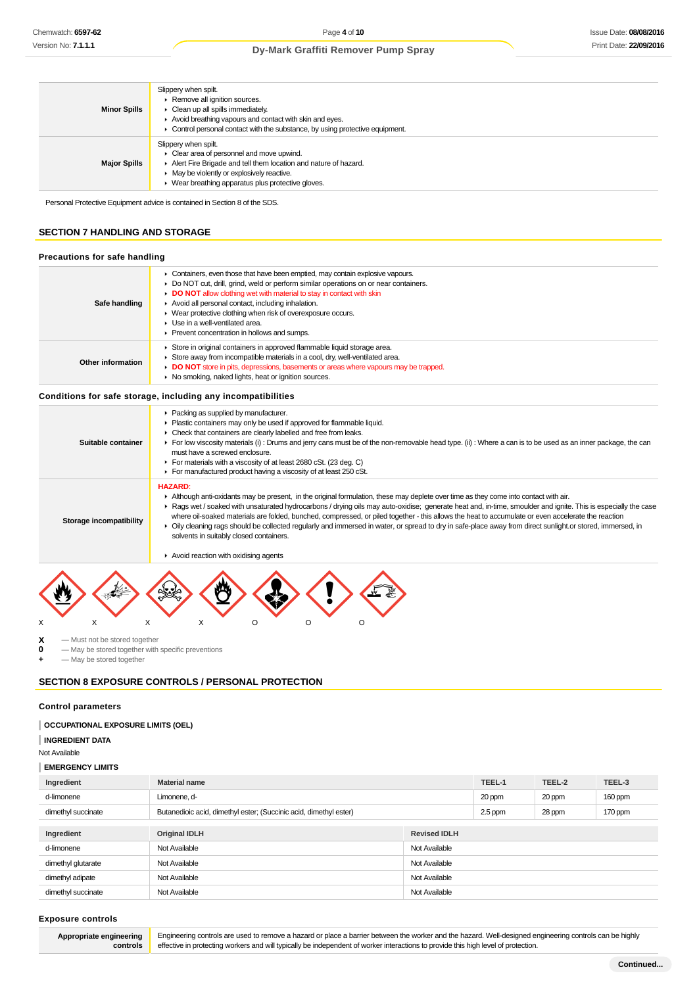| <b>Minor Spills</b> | Slippery when spilt.<br>Remove all ignition sources.<br>$\blacktriangleright$ Clean up all spills immediately.<br>Avoid breathing vapours and contact with skin and eyes.<br>• Control personal contact with the substance, by using protective equipment.                         |
|---------------------|------------------------------------------------------------------------------------------------------------------------------------------------------------------------------------------------------------------------------------------------------------------------------------|
| <b>Major Spills</b> | Slippery when spilt.<br>$\blacktriangleright$ Clear area of personnel and move upwind.<br>Alert Fire Brigade and tell them location and nature of hazard.<br>$\blacktriangleright$ May be violently or explosively reactive.<br>• Wear breathing apparatus plus protective gloves. |

Personal Protective Equipment advice is contained in Section 8 of the SDS.

## **SECTION 7 HANDLING AND STORAGE**

## **Precautions for safe handling**

| Safe handling     | • Containers, even those that have been emptied, may contain explosive vapours.<br>► Do NOT cut, drill, grind, weld or perform similar operations on or near containers.<br>DO NOT allow clothing wet with material to stay in contact with skin<br>Avoid all personal contact, including inhalation.<br>• Wear protective clothing when risk of overexposure occurs.<br>$\blacktriangleright$ Use in a well-ventilated area.<br>▶ Prevent concentration in hollows and sumps. |
|-------------------|--------------------------------------------------------------------------------------------------------------------------------------------------------------------------------------------------------------------------------------------------------------------------------------------------------------------------------------------------------------------------------------------------------------------------------------------------------------------------------|
| Other information | Store in original containers in approved flammable liquid storage area.<br>$\blacktriangleright$ Store away from incompatible materials in a cool, dry, well-ventilated area.<br>DO NOT store in pits, depressions, basements or areas where vapours may be trapped.<br>• No smoking, naked lights, heat or ignition sources.                                                                                                                                                  |

## **Conditions for safe storage, including any incompatibilities**

| Suitable container      | • Packing as supplied by manufacturer.<br>• Plastic containers may only be used if approved for flammable liquid.<br>• Check that containers are clearly labelled and free from leaks.<br>For low viscosity materials (i) : Drums and jerry cans must be of the non-removable head type. (ii) : Where a can is to be used as an inner package, the can<br>must have a screwed enclosure.<br>For materials with a viscosity of at least 2680 cSt. (23 deg. C)<br>For manufactured product having a viscosity of at least 250 cSt.                                                                                                                                                                                                  |
|-------------------------|-----------------------------------------------------------------------------------------------------------------------------------------------------------------------------------------------------------------------------------------------------------------------------------------------------------------------------------------------------------------------------------------------------------------------------------------------------------------------------------------------------------------------------------------------------------------------------------------------------------------------------------------------------------------------------------------------------------------------------------|
| Storage incompatibility | <b>HAZARD:</b><br>In Although anti-oxidants may be present, in the original formulation, these may deplete over time as they come into contact with air.<br>► Rags wet / soaked with unsaturated hydrocarbons / drying oils may auto-oxidise; generate heat and, in-time, smoulder and ignite. This is especially the case<br>where oil-soaked materials are folded, bunched, compressed, or piled together - this allows the heat to accumulate or even accelerate the reaction<br>▶ Oily cleaning rags should be collected regularly and immersed in water, or spread to dry in safe-place away from direct sunlight or stored, immersed, in<br>solvents in suitably closed containers.<br>Avoid reaction with oxidising agents |
| X                       |                                                                                                                                                                                                                                                                                                                                                                                                                                                                                                                                                                                                                                                                                                                                   |

 $\begin{array}{ccc} \mathbf{X} & -$  Must not be stored together<br>  $\mathbf{0} & -$  May be stored together with **0** — May be stored together with specific preventions

**+** — May be stored together

# **SECTION 8 EXPOSURE CONTROLS / PERSONAL PROTECTION**

#### **Control parameters**

**INGREDIENT DATA**

Not Available

## **EMERGENCY LIMITS**

| Ingredient         | <b>Material name</b>                                              |               | TEEL-1  | TEEL-2 | TEEL-3  |
|--------------------|-------------------------------------------------------------------|---------------|---------|--------|---------|
| d-limonene         | Limonene, d-                                                      |               | 20 ppm  | 20 ppm | 160 ppm |
| dimethyl succinate | Butanedioic acid, dimethyl ester; (Succinic acid, dimethyl ester) |               | 2.5 ppm | 28 ppm | 170 ppm |
|                    |                                                                   |               |         |        |         |
| Ingredient         | <b>Original IDLH</b><br><b>Revised IDLH</b>                       |               |         |        |         |
| d-limonene         | Not Available                                                     | Not Available |         |        |         |
| dimethyl glutarate | Not Available                                                     | Not Available |         |        |         |
| dimethyl adipate   | Not Available                                                     | Not Available |         |        |         |
| dimethyl succinate | Not Available<br>Not Available                                    |               |         |        |         |

#### **Exposure controls**

**Appropriate engineering controls**

Engineering controls are used to remove a hazard or place a barrier between the worker and the hazard. Well-designed engineering controls can be highly effective in protecting workers and will typically be independent of worker interactions to provide this high level of protection.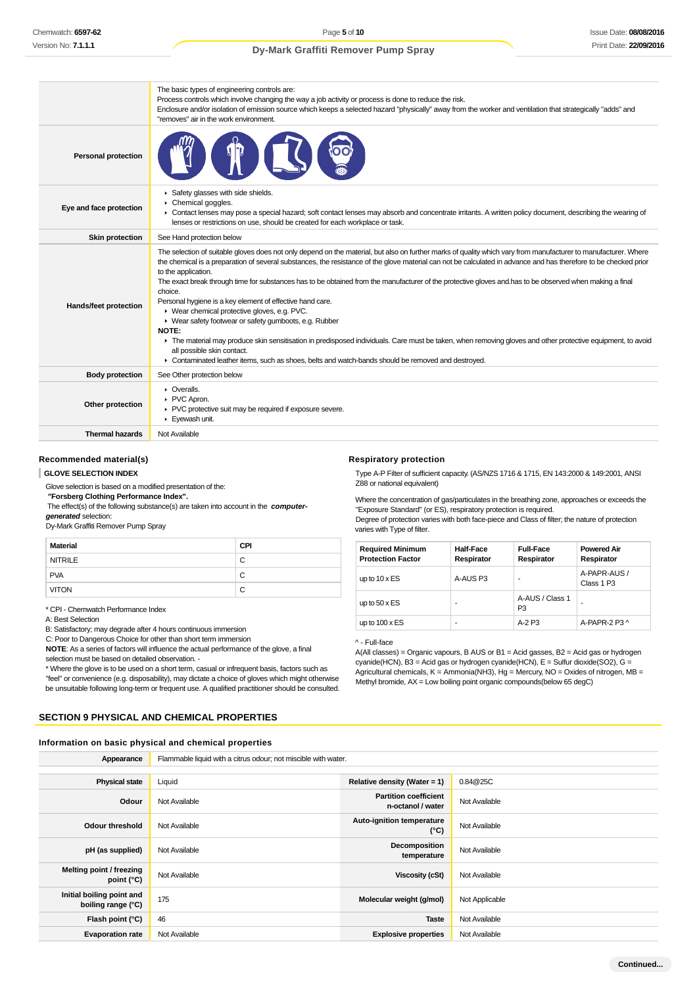|                            | The basic types of engineering controls are:<br>Process controls which involve changing the way a job activity or process is done to reduce the risk.<br>Enclosure and/or isolation of emission source which keeps a selected hazard "physically" away from the worker and ventilation that strategically "adds" and<br>"removes" air in the work environment.                                                                                                                                                                                                                                                                                                                                                                                                                                                                                                                                                                                                                                                      |
|----------------------------|---------------------------------------------------------------------------------------------------------------------------------------------------------------------------------------------------------------------------------------------------------------------------------------------------------------------------------------------------------------------------------------------------------------------------------------------------------------------------------------------------------------------------------------------------------------------------------------------------------------------------------------------------------------------------------------------------------------------------------------------------------------------------------------------------------------------------------------------------------------------------------------------------------------------------------------------------------------------------------------------------------------------|
| <b>Personal protection</b> |                                                                                                                                                                                                                                                                                                                                                                                                                                                                                                                                                                                                                                                                                                                                                                                                                                                                                                                                                                                                                     |
| Eye and face protection    | Safety glasses with side shields.<br>Chemical goggles.<br>• Contact lenses may pose a special hazard; soft contact lenses may absorb and concentrate irritants. A written policy document, describing the wearing of<br>lenses or restrictions on use, should be created for each workplace or task.                                                                                                                                                                                                                                                                                                                                                                                                                                                                                                                                                                                                                                                                                                                |
| <b>Skin protection</b>     | See Hand protection below                                                                                                                                                                                                                                                                                                                                                                                                                                                                                                                                                                                                                                                                                                                                                                                                                                                                                                                                                                                           |
| Hands/feet protection      | The selection of suitable gloves does not only depend on the material, but also on further marks of quality which vary from manufacturer to manufacturer. Where<br>the chemical is a preparation of several substances, the resistance of the glove material can not be calculated in advance and has therefore to be checked prior<br>to the application.<br>The exact break through time for substances has to be obtained from the manufacturer of the protective gloves and has to be observed when making a final<br>choice.<br>Personal hygiene is a key element of effective hand care.<br>▶ Wear chemical protective gloves, e.g. PVC.<br>▶ Wear safety footwear or safety gumboots, e.g. Rubber<br>NOTE:<br>The material may produce skin sensitisation in predisposed individuals. Care must be taken, when removing gloves and other protective equipment, to avoid<br>all possible skin contact.<br>► Contaminated leather items, such as shoes, belts and watch-bands should be removed and destroyed. |
| <b>Body protection</b>     | See Other protection below                                                                                                                                                                                                                                                                                                                                                                                                                                                                                                                                                                                                                                                                                                                                                                                                                                                                                                                                                                                          |
| Other protection           | • Overalls.<br>PVC Apron.<br>▶ PVC protective suit may be required if exposure severe.<br>Eyewash unit.                                                                                                                                                                                                                                                                                                                                                                                                                                                                                                                                                                                                                                                                                                                                                                                                                                                                                                             |
| <b>Thermal hazards</b>     | Not Available                                                                                                                                                                                                                                                                                                                                                                                                                                                                                                                                                                                                                                                                                                                                                                                                                                                                                                                                                                                                       |

## **Recommended material(s)**

**GLOVE SELECTION INDEX**

Glove selection is based on a modified presentation of the:

 **"Forsberg Clothing Performance Index".**

 The effect(s) of the following substance(s) are taken into account in the **computergenerated** selection:

Dy-Mark Graffiti Remover Pump Spray

| Material       | <b>CPI</b> |
|----------------|------------|
| <b>NITRILE</b> | C          |
| <b>PVA</b>     | C          |
| <b>VITON</b>   | С          |
|                |            |

\* CPI - Chemwatch Performance Index

A: Best Selection

B: Satisfactory; may degrade after 4 hours continuous immersion

C: Poor to Dangerous Choice for other than short term immersion

**NOTE**: As a series of factors will influence the actual performance of the glove, a final

selection must be based on detailed observation -

\* Where the glove is to be used on a short term, casual or infrequent basis, factors such as

"feel" or convenience (e.g. disposability), may dictate a choice of gloves which might otherwise be unsuitable following long-term or frequent use. A qualified practitioner should be consulted.

# **SECTION 9 PHYSICAL AND CHEMICAL PROPERTIES**

## **Information on basic physical and chemical properties**

| Appearance                                      | Flammable liquid with a citrus odour; not miscible with water. |                                                   |                |
|-------------------------------------------------|----------------------------------------------------------------|---------------------------------------------------|----------------|
|                                                 |                                                                |                                                   |                |
| <b>Physical state</b>                           | Liquid                                                         | Relative density (Water = $1$ )                   | 0.84@25C       |
| Odour                                           | Not Available                                                  | <b>Partition coefficient</b><br>n-octanol / water | Not Available  |
| Odour threshold                                 | Not Available                                                  | Auto-ignition temperature<br>$(^{\circ}C)$        | Not Available  |
| pH (as supplied)                                | Not Available                                                  | Decomposition<br>temperature                      | Not Available  |
| Melting point / freezing<br>point (°C)          | Not Available                                                  | Viscosity (cSt)                                   | Not Available  |
| Initial boiling point and<br>boiling range (°C) | 175                                                            | Molecular weight (g/mol)                          | Not Applicable |
| Flash point (°C)                                | 46                                                             | <b>Taste</b>                                      | Not Available  |
| <b>Evaporation rate</b>                         | Not Available                                                  | <b>Explosive properties</b>                       | Not Available  |

#### **Respiratory protection**

Type A-P Filter of sufficient capacity. (AS/NZS 1716 & 1715, EN 143:2000 & 149:2001, ANSI Z88 or national equivalent)

Where the concentration of gas/particulates in the breathing zone, approaches or exceeds the "Exposure Standard" (or ES), respiratory protection is required. Degree of protection varies with both face-piece and Class of filter; the nature of protection

varies with Type of filter.

| <b>Required Minimum</b><br><b>Protection Factor</b> | <b>Half-Face</b><br>Respirator | <b>Full-Face</b><br>Respirator    | <b>Powered Air</b><br>Respirator |
|-----------------------------------------------------|--------------------------------|-----------------------------------|----------------------------------|
| up to $10 \times ES$                                | A-AUS P3                       |                                   | A-PAPR-AUS /<br>Class 1 P3       |
| up to $50 \times ES$                                | ۰                              | A-AUS / Class 1<br>P <sub>3</sub> |                                  |
| up to $100 \times ES$                               | ۰                              | $A-2P3$                           | A-PAPR-2 P3 ^                    |

## ^ - Full-face

A(All classes) = Organic vapours, B AUS or B1 = Acid gasses, B2 = Acid gas or hydrogen cyanide(HCN), B3 = Acid gas or hydrogen cyanide(HCN),  $E = S$ ulfur dioxide(SO2), G = Agricultural chemicals, K = Ammonia(NH3), Hg = Mercury, NO = Oxides of nitrogen, MB = Methyl bromide, AX = Low boiling point organic compounds(below 65 degC)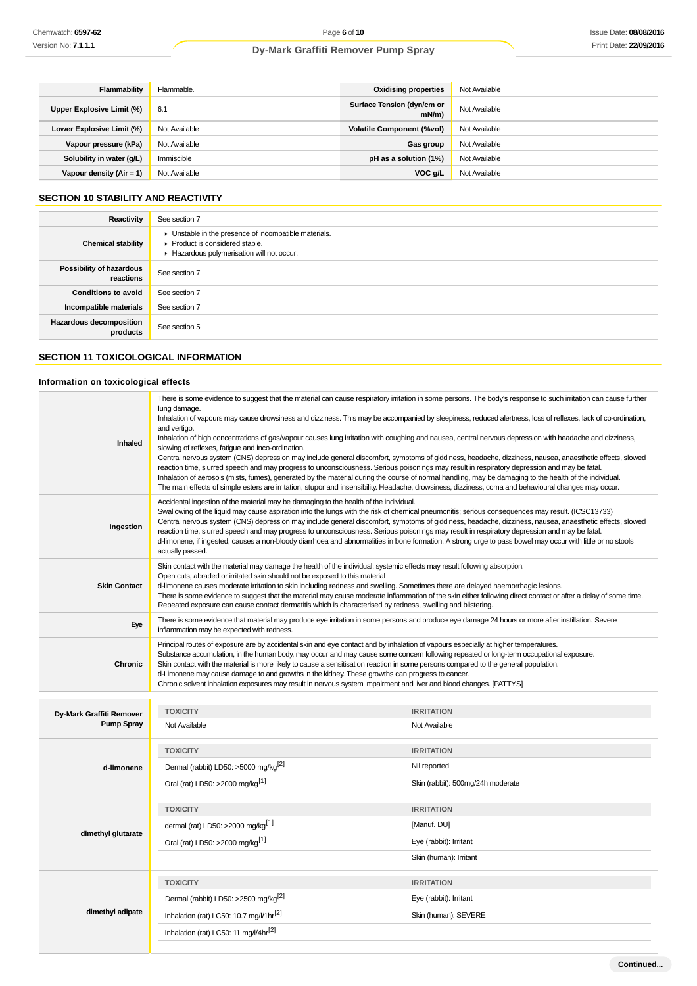| Flammability               | Flammable.    | <b>Oxidising properties</b>            | Not Available |
|----------------------------|---------------|----------------------------------------|---------------|
| Upper Explosive Limit (%)  | 6.1           | Surface Tension (dyn/cm or<br>$mN/m$ ) | Not Available |
| Lower Explosive Limit (%)  | Not Available | <b>Volatile Component (%vol)</b>       | Not Available |
| Vapour pressure (kPa)      | Not Available | Gas group                              | Not Available |
| Solubility in water (g/L)  | Immiscible    | pH as a solution (1%)                  | Not Available |
| Vapour density $(Air = 1)$ | Not Available | VOC g/L                                | Not Available |

# **SECTION 10 STABILITY AND REACTIVITY**

| Reactivity                                 | See section 7                                                                                                                        |
|--------------------------------------------|--------------------------------------------------------------------------------------------------------------------------------------|
| <b>Chemical stability</b>                  | • Unstable in the presence of incompatible materials.<br>▶ Product is considered stable.<br>Hazardous polymerisation will not occur. |
| Possibility of hazardous<br>reactions      | See section 7                                                                                                                        |
| <b>Conditions to avoid</b>                 | See section 7                                                                                                                        |
| Incompatible materials                     | See section 7                                                                                                                        |
| <b>Hazardous decomposition</b><br>products | See section 5                                                                                                                        |

# **SECTION 11 TOXICOLOGICAL INFORMATION**

# **Information on toxicological effects**

| lung damage.<br>and vertigo.<br>Inhaled<br>slowing of reflexes, fatigue and inco-ordination.                                                                                                                                                                                                                                                                                                                                                                                                                          | There is some evidence to suggest that the material can cause respiratory irritation in some persons. The body's response to such irritation can cause further<br>Inhalation of vapours may cause drowsiness and dizziness. This may be accompanied by sleepiness, reduced alertness, loss of reflexes, lack of co-ordination,<br>Inhalation of high concentrations of gas/vapour causes lung irritation with coughing and nausea, central nervous depression with headache and dizziness,<br>Central nervous system (CNS) depression may include general discomfort, symptoms of giddiness, headache, dizziness, nausea, anaesthetic effects, slowed<br>reaction time, slurred speech and may progress to unconsciousness. Serious poisonings may result in respiratory depression and may be fatal.<br>Inhalation of aerosols (mists, fumes), generated by the material during the course of normal handling, may be damaging to the health of the individual.<br>The main effects of simple esters are irritation, stupor and insensibility. Headache, drowsiness, dizziness, coma and behavioural changes may occur. |  |  |
|-----------------------------------------------------------------------------------------------------------------------------------------------------------------------------------------------------------------------------------------------------------------------------------------------------------------------------------------------------------------------------------------------------------------------------------------------------------------------------------------------------------------------|--------------------------------------------------------------------------------------------------------------------------------------------------------------------------------------------------------------------------------------------------------------------------------------------------------------------------------------------------------------------------------------------------------------------------------------------------------------------------------------------------------------------------------------------------------------------------------------------------------------------------------------------------------------------------------------------------------------------------------------------------------------------------------------------------------------------------------------------------------------------------------------------------------------------------------------------------------------------------------------------------------------------------------------------------------------------------------------------------------------------------|--|--|
| Accidental ingestion of the material may be damaging to the health of the individual.<br>Ingestion<br>actually passed.                                                                                                                                                                                                                                                                                                                                                                                                | Swallowing of the liquid may cause aspiration into the lungs with the risk of chemical pneumonitis; serious consequences may result. (ICSC13733)<br>Central nervous system (CNS) depression may include general discomfort, symptoms of giddiness, headache, dizziness, nausea, anaesthetic effects, slowed<br>reaction time, slurred speech and may progress to unconsciousness. Serious poisonings may result in respiratory depression and may be fatal.<br>d-limonene, if ingested, causes a non-bloody diarrhoea and abnormalities in bone formation. A strong urge to pass bowel may occur with little or no stools                                                                                                                                                                                                                                                                                                                                                                                                                                                                                                |  |  |
| Skin contact with the material may damage the health of the individual; systemic effects may result following absorption.<br>Open cuts, abraded or irritated skin should not be exposed to this material<br><b>Skin Contact</b><br>d-limonene causes moderate irritation to skin including redness and swelling. Sometimes there are delayed haemorrhagic lesions.<br>Repeated exposure can cause contact dermatitis which is characterised by redness, swelling and blistering.                                      | There is some evidence to suggest that the material may cause moderate inflammation of the skin either following direct contact or after a delay of some time.                                                                                                                                                                                                                                                                                                                                                                                                                                                                                                                                                                                                                                                                                                                                                                                                                                                                                                                                                           |  |  |
| Eye<br>inflammation may be expected with redness.                                                                                                                                                                                                                                                                                                                                                                                                                                                                     | There is some evidence that material may produce eye irritation in some persons and produce eye damage 24 hours or more after instillation. Severe                                                                                                                                                                                                                                                                                                                                                                                                                                                                                                                                                                                                                                                                                                                                                                                                                                                                                                                                                                       |  |  |
| Principal routes of exposure are by accidental skin and eye contact and by inhalation of vapours especially at higher temperatures.<br><b>Chronic</b><br>Skin contact with the material is more likely to cause a sensitisation reaction in some persons compared to the general population.<br>d-Limonene may cause damage to and growths in the kidney. These growths can progress to cancer.<br>Chronic solvent inhalation exposures may result in nervous system impairment and liver and blood changes. [PATTYS] | Substance accumulation, in the human body, may occur and may cause some concern following repeated or long-term occupational exposure.                                                                                                                                                                                                                                                                                                                                                                                                                                                                                                                                                                                                                                                                                                                                                                                                                                                                                                                                                                                   |  |  |
| <b>TOXICITY</b><br><b>IRRITATION</b><br>Dy-Mark Graffiti Remover                                                                                                                                                                                                                                                                                                                                                                                                                                                      |                                                                                                                                                                                                                                                                                                                                                                                                                                                                                                                                                                                                                                                                                                                                                                                                                                                                                                                                                                                                                                                                                                                          |  |  |
| <b>Pump Spray</b><br>Not Available<br>Not Available                                                                                                                                                                                                                                                                                                                                                                                                                                                                   |                                                                                                                                                                                                                                                                                                                                                                                                                                                                                                                                                                                                                                                                                                                                                                                                                                                                                                                                                                                                                                                                                                                          |  |  |
| <b>TOXICITY</b><br><b>IRRITATION</b>                                                                                                                                                                                                                                                                                                                                                                                                                                                                                  |                                                                                                                                                                                                                                                                                                                                                                                                                                                                                                                                                                                                                                                                                                                                                                                                                                                                                                                                                                                                                                                                                                                          |  |  |
| Dermal (rabbit) LD50: >5000 mg/kg <sup>[2]</sup><br>Nil reported<br>d-limonene                                                                                                                                                                                                                                                                                                                                                                                                                                        |                                                                                                                                                                                                                                                                                                                                                                                                                                                                                                                                                                                                                                                                                                                                                                                                                                                                                                                                                                                                                                                                                                                          |  |  |
| Oral (rat) LD50: >2000 mg/kg <sup>[1]</sup><br>Skin (rabbit): 500mg/24h moderate                                                                                                                                                                                                                                                                                                                                                                                                                                      |                                                                                                                                                                                                                                                                                                                                                                                                                                                                                                                                                                                                                                                                                                                                                                                                                                                                                                                                                                                                                                                                                                                          |  |  |
| <b>TOXICITY</b><br><b>IRRITATION</b>                                                                                                                                                                                                                                                                                                                                                                                                                                                                                  |                                                                                                                                                                                                                                                                                                                                                                                                                                                                                                                                                                                                                                                                                                                                                                                                                                                                                                                                                                                                                                                                                                                          |  |  |
| dermal (rat) LD50: >2000 mg/kg <sup>[1]</sup><br>[Manuf. DU]                                                                                                                                                                                                                                                                                                                                                                                                                                                          |                                                                                                                                                                                                                                                                                                                                                                                                                                                                                                                                                                                                                                                                                                                                                                                                                                                                                                                                                                                                                                                                                                                          |  |  |
| dimethyl glutarate<br>Oral (rat) LD50: >2000 mg/kg <sup>[1]</sup><br>Eye (rabbit): Irritant                                                                                                                                                                                                                                                                                                                                                                                                                           |                                                                                                                                                                                                                                                                                                                                                                                                                                                                                                                                                                                                                                                                                                                                                                                                                                                                                                                                                                                                                                                                                                                          |  |  |
| Skin (human): Irritant                                                                                                                                                                                                                                                                                                                                                                                                                                                                                                |                                                                                                                                                                                                                                                                                                                                                                                                                                                                                                                                                                                                                                                                                                                                                                                                                                                                                                                                                                                                                                                                                                                          |  |  |
| <b>TOXICITY</b><br><b>IRRITATION</b>                                                                                                                                                                                                                                                                                                                                                                                                                                                                                  |                                                                                                                                                                                                                                                                                                                                                                                                                                                                                                                                                                                                                                                                                                                                                                                                                                                                                                                                                                                                                                                                                                                          |  |  |
| Dermal (rabbit) LD50: >2500 mg/kg <sup>[2]</sup><br>Eye (rabbit): Irritant                                                                                                                                                                                                                                                                                                                                                                                                                                            |                                                                                                                                                                                                                                                                                                                                                                                                                                                                                                                                                                                                                                                                                                                                                                                                                                                                                                                                                                                                                                                                                                                          |  |  |
|                                                                                                                                                                                                                                                                                                                                                                                                                                                                                                                       |                                                                                                                                                                                                                                                                                                                                                                                                                                                                                                                                                                                                                                                                                                                                                                                                                                                                                                                                                                                                                                                                                                                          |  |  |
| dimethyl adipate<br>Inhalation (rat) LC50: 10.7 mg/l/1hr <sup>[2]</sup><br>Skin (human): SEVERE                                                                                                                                                                                                                                                                                                                                                                                                                       |                                                                                                                                                                                                                                                                                                                                                                                                                                                                                                                                                                                                                                                                                                                                                                                                                                                                                                                                                                                                                                                                                                                          |  |  |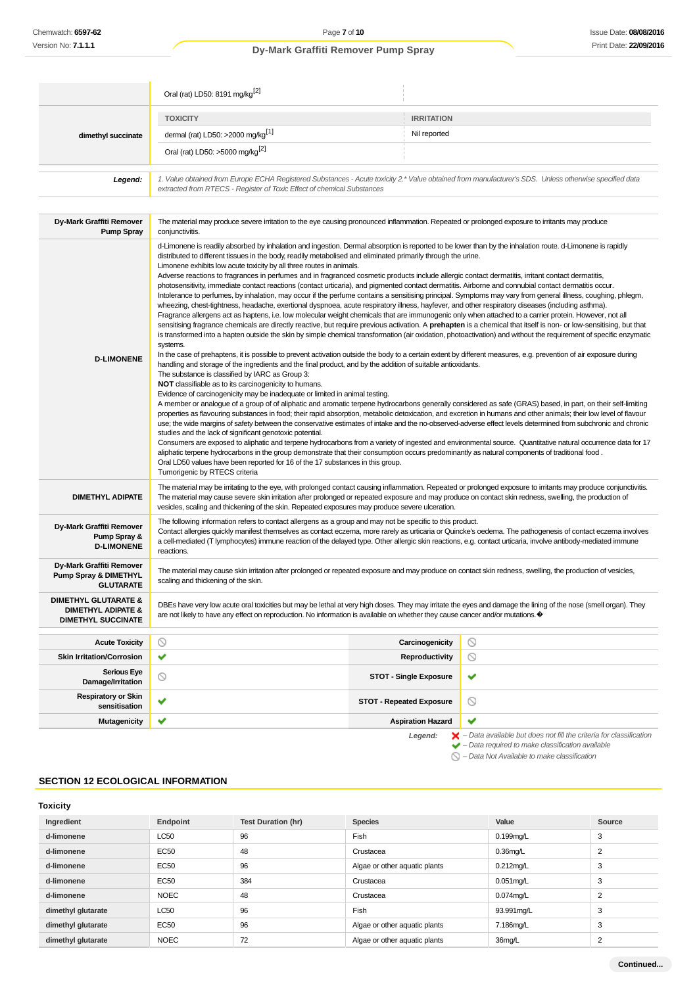|                                                                                               | Oral (rat) LD50: 8191 mg/kg <sup>[2]</sup>                                                                                                                                                                                                                                                                                                                                                                                                                                                                                                                                                                                                                                                                                                                                                                                                                                                                                                                                                                                                                                                                                                                                                                                                                                                                                                                                                                                                                                                                                                                                                                                                                                                                                                                                                                                                                                                                                                                                                                                                                                                                                                                                                                                                                                                                                                                                                                                                                                                                                                                                                                                                                                                                                                                                                                                                                                                                                                                                                       |                                 |                                                                       |
|-----------------------------------------------------------------------------------------------|--------------------------------------------------------------------------------------------------------------------------------------------------------------------------------------------------------------------------------------------------------------------------------------------------------------------------------------------------------------------------------------------------------------------------------------------------------------------------------------------------------------------------------------------------------------------------------------------------------------------------------------------------------------------------------------------------------------------------------------------------------------------------------------------------------------------------------------------------------------------------------------------------------------------------------------------------------------------------------------------------------------------------------------------------------------------------------------------------------------------------------------------------------------------------------------------------------------------------------------------------------------------------------------------------------------------------------------------------------------------------------------------------------------------------------------------------------------------------------------------------------------------------------------------------------------------------------------------------------------------------------------------------------------------------------------------------------------------------------------------------------------------------------------------------------------------------------------------------------------------------------------------------------------------------------------------------------------------------------------------------------------------------------------------------------------------------------------------------------------------------------------------------------------------------------------------------------------------------------------------------------------------------------------------------------------------------------------------------------------------------------------------------------------------------------------------------------------------------------------------------------------------------------------------------------------------------------------------------------------------------------------------------------------------------------------------------------------------------------------------------------------------------------------------------------------------------------------------------------------------------------------------------------------------------------------------------------------------------------------------------|---------------------------------|-----------------------------------------------------------------------|
|                                                                                               | <b>TOXICITY</b>                                                                                                                                                                                                                                                                                                                                                                                                                                                                                                                                                                                                                                                                                                                                                                                                                                                                                                                                                                                                                                                                                                                                                                                                                                                                                                                                                                                                                                                                                                                                                                                                                                                                                                                                                                                                                                                                                                                                                                                                                                                                                                                                                                                                                                                                                                                                                                                                                                                                                                                                                                                                                                                                                                                                                                                                                                                                                                                                                                                  | <b>IRRITATION</b>               |                                                                       |
| dimethyl succinate                                                                            | dermal (rat) LD50: >2000 mg/kg <sup>[1]</sup>                                                                                                                                                                                                                                                                                                                                                                                                                                                                                                                                                                                                                                                                                                                                                                                                                                                                                                                                                                                                                                                                                                                                                                                                                                                                                                                                                                                                                                                                                                                                                                                                                                                                                                                                                                                                                                                                                                                                                                                                                                                                                                                                                                                                                                                                                                                                                                                                                                                                                                                                                                                                                                                                                                                                                                                                                                                                                                                                                    | Nil reported                    |                                                                       |
|                                                                                               | Oral (rat) LD50: >5000 mg/kg <sup>[2]</sup>                                                                                                                                                                                                                                                                                                                                                                                                                                                                                                                                                                                                                                                                                                                                                                                                                                                                                                                                                                                                                                                                                                                                                                                                                                                                                                                                                                                                                                                                                                                                                                                                                                                                                                                                                                                                                                                                                                                                                                                                                                                                                                                                                                                                                                                                                                                                                                                                                                                                                                                                                                                                                                                                                                                                                                                                                                                                                                                                                      |                                 |                                                                       |
| Legend:                                                                                       | 1. Value obtained from Europe ECHA Registered Substances - Acute toxicity 2.* Value obtained from manufacturer's SDS. Unless otherwise specified data<br>extracted from RTECS - Register of Toxic Effect of chemical Substances                                                                                                                                                                                                                                                                                                                                                                                                                                                                                                                                                                                                                                                                                                                                                                                                                                                                                                                                                                                                                                                                                                                                                                                                                                                                                                                                                                                                                                                                                                                                                                                                                                                                                                                                                                                                                                                                                                                                                                                                                                                                                                                                                                                                                                                                                                                                                                                                                                                                                                                                                                                                                                                                                                                                                                  |                                 |                                                                       |
| Dy-Mark Graffiti Remover<br><b>Pump Spray</b>                                                 | The material may produce severe irritation to the eye causing pronounced inflammation. Repeated or prolonged exposure to irritants may produce<br>conjunctivitis.                                                                                                                                                                                                                                                                                                                                                                                                                                                                                                                                                                                                                                                                                                                                                                                                                                                                                                                                                                                                                                                                                                                                                                                                                                                                                                                                                                                                                                                                                                                                                                                                                                                                                                                                                                                                                                                                                                                                                                                                                                                                                                                                                                                                                                                                                                                                                                                                                                                                                                                                                                                                                                                                                                                                                                                                                                |                                 |                                                                       |
| <b>D-LIMONENE</b>                                                                             | d-Limonene is readily absorbed by inhalation and ingestion. Dermal absorption is reported to be lower than by the inhalation route. d-Limonene is rapidly<br>distributed to different tissues in the body, readily metabolised and eliminated primarily through the urine.<br>Limonene exhibits low acute toxicity by all three routes in animals.<br>Adverse reactions to fragrances in perfumes and in fragranced cosmetic products include allergic contact dermatitis, irritant contact dermatitis,<br>photosensitivity, immediate contact reactions (contact urticaria), and pigmented contact dermatitis. Airborne and connubial contact dermatitis occur.<br>Intolerance to perfumes, by inhalation, may occur if the perfume contains a sensitising principal. Symptoms may vary from general illness, coughing, phlegm,<br>wheezing, chest-tightness, headache, exertional dyspnoea, acute respiratory illness, hayfever, and other respiratory diseases (including asthma).<br>Fragrance allergens act as haptens, i.e. low molecular weight chemicals that are immunogenic only when attached to a carrier protein. However, not all<br>sensitising fragrance chemicals are directly reactive, but require previous activation. A prehapten is a chemical that itself is non- or low-sensitising, but that<br>is transformed into a hapten outside the skin by simple chemical transformation (air oxidation, photoactivation) and without the requirement of specific enzymatic<br>systems.<br>In the case of prehaptens, it is possible to prevent activation outside the body to a certain extent by different measures, e.g. prevention of air exposure during<br>handling and storage of the ingredients and the final product, and by the addition of suitable antioxidants.<br>The substance is classified by IARC as Group 3:<br>NOT classifiable as to its carcinogenicity to humans.<br>Evidence of carcinogenicity may be inadequate or limited in animal testing.<br>A member or analogue of a group of of aliphatic and aromatic terpene hydrocarbons generally considered as safe (GRAS) based, in part, on their self-limiting<br>properties as flavouring substances in food; their rapid absorption, metabolic detoxication, and excretion in humans and other animals; their low level of flavour<br>use; the wide margins of safety between the conservative estimates of intake and the no-observed-adverse effect levels determined from subchronic and chronic<br>studies and the lack of significant genotoxic potential.<br>Consumers are exposed to aliphatic and terpene hydrocarbons from a variety of ingested and environmental source. Quantitative natural occurrence data for 17<br>aliphatic terpene hydrocarbons in the group demonstrate that their consumption occurs predominantly as natural components of traditional food.<br>Oral LD50 values have been reported for 16 of the 17 substances in this group.<br>Tumorigenic by RTECS criteria |                                 |                                                                       |
| <b>DIMETHYL ADIPATE</b>                                                                       | The material may be irritating to the eye, with prolonged contact causing inflammation. Repeated or prolonged exposure to irritants may produce conjunctivitis.<br>The material may cause severe skin irritation after prolonged or repeated exposure and may produce on contact skin redness, swelling, the production of<br>vesicles, scaling and thickening of the skin. Repeated exposures may produce severe ulceration.                                                                                                                                                                                                                                                                                                                                                                                                                                                                                                                                                                                                                                                                                                                                                                                                                                                                                                                                                                                                                                                                                                                                                                                                                                                                                                                                                                                                                                                                                                                                                                                                                                                                                                                                                                                                                                                                                                                                                                                                                                                                                                                                                                                                                                                                                                                                                                                                                                                                                                                                                                    |                                 |                                                                       |
| Dy-Mark Graffiti Remover<br>Pump Spray &<br><b>D-LIMONENE</b>                                 | The following information refers to contact allergens as a group and may not be specific to this product.<br>Contact allergies quickly manifest themselves as contact eczema, more rarely as urticaria or Quincke's oedema. The pathogenesis of contact eczema involves<br>a cell-mediated (T lymphocytes) immune reaction of the delayed type. Other allergic skin reactions, e.g. contact urticaria, involve antibody-mediated immune<br>reactions.                                                                                                                                                                                                                                                                                                                                                                                                                                                                                                                                                                                                                                                                                                                                                                                                                                                                                                                                                                                                                                                                                                                                                                                                                                                                                                                                                                                                                                                                                                                                                                                                                                                                                                                                                                                                                                                                                                                                                                                                                                                                                                                                                                                                                                                                                                                                                                                                                                                                                                                                            |                                 |                                                                       |
| Dy-Mark Graffiti Remover<br><b>Pump Spray &amp; DIMETHYL</b><br><b>GLUTARATE</b>              | The material may cause skin irritation after prolonged or repeated exposure and may produce on contact skin redness, swelling, the production of vesicles,<br>scaling and thickening of the skin.                                                                                                                                                                                                                                                                                                                                                                                                                                                                                                                                                                                                                                                                                                                                                                                                                                                                                                                                                                                                                                                                                                                                                                                                                                                                                                                                                                                                                                                                                                                                                                                                                                                                                                                                                                                                                                                                                                                                                                                                                                                                                                                                                                                                                                                                                                                                                                                                                                                                                                                                                                                                                                                                                                                                                                                                |                                 |                                                                       |
| <b>DIMETHYL GLUTARATE &amp;</b><br><b>DIMETHYL ADIPATE &amp;</b><br><b>DIMETHYL SUCCINATE</b> | DBEs have very low acute oral toxicities but may be lethal at very high doses. They may irritate the eyes and damage the lining of the nose (smell organ). They<br>are not likely to have any effect on reproduction. No information is available on whether they cause cancer and/or mutations. $\bullet$                                                                                                                                                                                                                                                                                                                                                                                                                                                                                                                                                                                                                                                                                                                                                                                                                                                                                                                                                                                                                                                                                                                                                                                                                                                                                                                                                                                                                                                                                                                                                                                                                                                                                                                                                                                                                                                                                                                                                                                                                                                                                                                                                                                                                                                                                                                                                                                                                                                                                                                                                                                                                                                                                       |                                 |                                                                       |
| <b>Acute Toxicity</b>                                                                         | $\circ$                                                                                                                                                                                                                                                                                                                                                                                                                                                                                                                                                                                                                                                                                                                                                                                                                                                                                                                                                                                                                                                                                                                                                                                                                                                                                                                                                                                                                                                                                                                                                                                                                                                                                                                                                                                                                                                                                                                                                                                                                                                                                                                                                                                                                                                                                                                                                                                                                                                                                                                                                                                                                                                                                                                                                                                                                                                                                                                                                                                          | Carcinogenicity                 | $\circ$                                                               |
| <b>Skin Irritation/Corrosion</b>                                                              | ✔                                                                                                                                                                                                                                                                                                                                                                                                                                                                                                                                                                                                                                                                                                                                                                                                                                                                                                                                                                                                                                                                                                                                                                                                                                                                                                                                                                                                                                                                                                                                                                                                                                                                                                                                                                                                                                                                                                                                                                                                                                                                                                                                                                                                                                                                                                                                                                                                                                                                                                                                                                                                                                                                                                                                                                                                                                                                                                                                                                                                | <b>Reproductivity</b>           | $\circ$                                                               |
| <b>Serious Eye</b><br>Damage/Irritation                                                       | $\circ$                                                                                                                                                                                                                                                                                                                                                                                                                                                                                                                                                                                                                                                                                                                                                                                                                                                                                                                                                                                                                                                                                                                                                                                                                                                                                                                                                                                                                                                                                                                                                                                                                                                                                                                                                                                                                                                                                                                                                                                                                                                                                                                                                                                                                                                                                                                                                                                                                                                                                                                                                                                                                                                                                                                                                                                                                                                                                                                                                                                          | <b>STOT - Single Exposure</b>   | ✔                                                                     |
| <b>Respiratory or Skin</b><br>sensitisation                                                   | ✔                                                                                                                                                                                                                                                                                                                                                                                                                                                                                                                                                                                                                                                                                                                                                                                                                                                                                                                                                                                                                                                                                                                                                                                                                                                                                                                                                                                                                                                                                                                                                                                                                                                                                                                                                                                                                                                                                                                                                                                                                                                                                                                                                                                                                                                                                                                                                                                                                                                                                                                                                                                                                                                                                                                                                                                                                                                                                                                                                                                                | <b>STOT - Repeated Exposure</b> | $\circledcirc$                                                        |
| <b>Mutagenicity</b>                                                                           | ✔                                                                                                                                                                                                                                                                                                                                                                                                                                                                                                                                                                                                                                                                                                                                                                                                                                                                                                                                                                                                                                                                                                                                                                                                                                                                                                                                                                                                                                                                                                                                                                                                                                                                                                                                                                                                                                                                                                                                                                                                                                                                                                                                                                                                                                                                                                                                                                                                                                                                                                                                                                                                                                                                                                                                                                                                                                                                                                                                                                                                | <b>Aspiration Hazard</b>        | ✔<br>Data available but does not fill the criteria for classification |

# Legend:  $\blacktriangleright$  - Data available but does not fill the criteria for classification<br>  $\blacktriangleright$  - Data required to make classification available

 $\bigcirc$  – Data Not Available to make classification

# **SECTION 12 ECOLOGICAL INFORMATION**

# **Toxicity**

| Ingredient         | Endpoint    | <b>Test Duration (hr)</b> | <b>Species</b>                | Value        | Source         |
|--------------------|-------------|---------------------------|-------------------------------|--------------|----------------|
| d-limonene         | <b>LC50</b> | 96                        | Fish                          | $0.199$ mg/L | 3              |
| d-limonene         | EC50        | 48                        | Crustacea                     | $0.36$ mg/L  | $\overline{2}$ |
| d-limonene         | EC50        | 96                        | Algae or other aquatic plants | $0.212$ mg/L | 3              |
| d-limonene         | EC50        | 384                       | Crustacea                     | $0.051$ mg/L | 3              |
| d-limonene         | <b>NOEC</b> | 48                        | Crustacea                     | 0.074mg/L    | $\overline{2}$ |
| dimethyl glutarate | <b>LC50</b> | 96                        | Fish                          | 93.991mg/L   | 3              |
| dimethyl glutarate | EC50        | 96                        | Algae or other aquatic plants | 7.186mg/L    | 3              |
| dimethyl glutarate | <b>NOEC</b> | 72                        | Algae or other aquatic plants | 36mg/L       | 2              |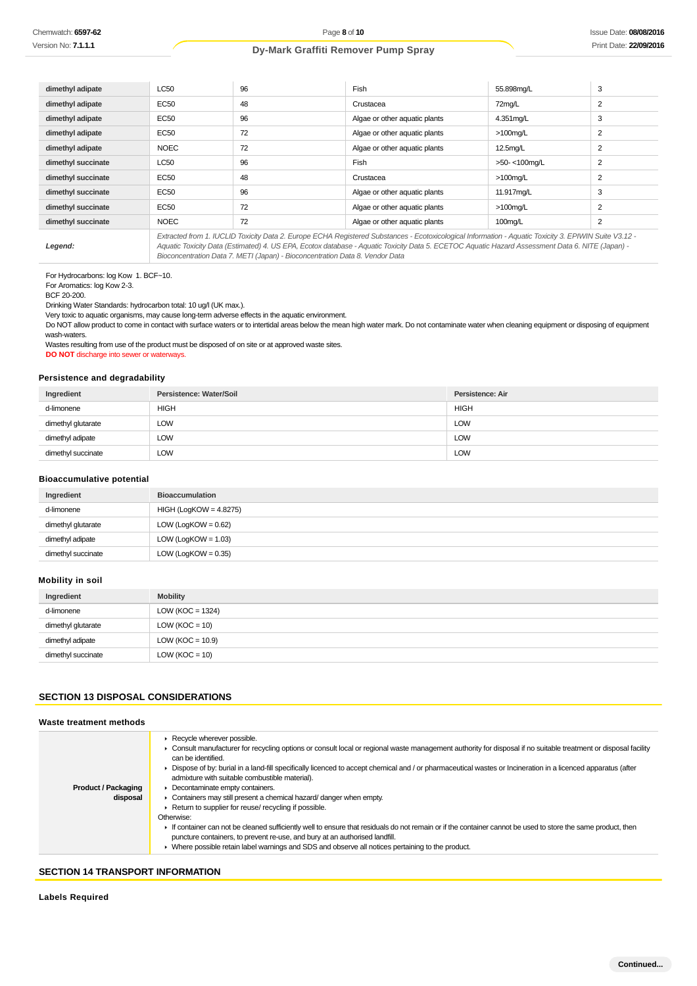| dimethyl adipate   | <b>LC50</b> | 96 | Fish                                                                                                                                                                                                                                                                                                     | 55.898mg/L           | 3              |
|--------------------|-------------|----|----------------------------------------------------------------------------------------------------------------------------------------------------------------------------------------------------------------------------------------------------------------------------------------------------------|----------------------|----------------|
| dimethyl adipate   | EC50        | 48 | Crustacea                                                                                                                                                                                                                                                                                                | 72mg/L               | $\overline{2}$ |
| dimethyl adipate   | EC50        | 96 | Algae or other aquatic plants                                                                                                                                                                                                                                                                            | 4.351mg/L            | 3              |
| dimethyl adipate   | EC50        | 72 | Algae or other aquatic plants                                                                                                                                                                                                                                                                            | $>100$ mg/L          | $\overline{2}$ |
| dimethyl adipate   | <b>NOEC</b> | 72 | Algae or other aquatic plants                                                                                                                                                                                                                                                                            | 12.5 <sub>mq/L</sub> | $\overline{2}$ |
| dimethyl succinate | LC50        | 96 | Fish                                                                                                                                                                                                                                                                                                     | >50-<100mg/L         | $\overline{2}$ |
| dimethyl succinate | EC50        | 48 | Crustacea                                                                                                                                                                                                                                                                                                | $>100$ mg/L          | $\overline{2}$ |
| dimethyl succinate | EC50        | 96 | Algae or other aquatic plants                                                                                                                                                                                                                                                                            | 11.917mg/L           | 3              |
| dimethyl succinate | EC50        | 72 | Algae or other aquatic plants                                                                                                                                                                                                                                                                            | $>100$ mg/L          | $\overline{2}$ |
| dimethyl succinate | <b>NOEC</b> | 72 | Algae or other aquatic plants                                                                                                                                                                                                                                                                            | $100$ mg/L           | $\overline{2}$ |
| Legend:            |             |    | Extracted from 1. IUCLID Toxicity Data 2. Europe ECHA Registered Substances - Ecotoxicological Information - Aquatic Toxicity 3. EPIWIN Suite V3.12 -<br>Aquatic Toxicity Data (Estimated) 4. US EPA, Ecotox database - Aquatic Toxicity Data 5. ECETOC Aquatic Hazard Assessment Data 6. NITE (Japan) - |                      |                |

For Hydrocarbons: log Kow 1. BCF~10.

For Aromatics: log Kow 2-3.

BCF 20-200.

Drinking Water Standards: hydrocarbon total: 10 ug/l (UK max.).

Very toxic to aquatic organisms, may cause long-term adverse effects in the aquatic environment.

Do NOT allow product to come in contact with surface waters or to intertidal areas below the mean high water mark. Do not contaminate water when cleaning equipment or disposing of equipment wash-waters.

Bioconcentration Data 7. METI (Japan) - Bioconcentration Data 8. Vendor Data

Wastes resulting from use of the product must be disposed of on site or at approved waste sites. **DO NOT** discharge into sewer or waterways.

# **Persistence and degradability**

| Ingredient         | Persistence: Water/Soil | Persistence: Air |
|--------------------|-------------------------|------------------|
| d-limonene         | <b>HIGH</b>             | <b>HIGH</b>      |
| dimethyl glutarate | LOW                     | <b>LOW</b>       |
| dimethyl adipate   | LOW                     | LOW              |
| dimethyl succinate | <b>LOW</b>              | <b>LOW</b>       |

## **Bioaccumulative potential**

| Ingredient         | <b>Bioaccumulation</b>   |
|--------------------|--------------------------|
| d-limonene         | $HIGH (LogKOW = 4.8275)$ |
| dimethyl glutarate | $LOW (LogKOW = 0.62)$    |
| dimethyl adipate   | $LOW (LogKOW = 1.03)$    |
| dimethyl succinate | LOW (LogKOW = $0.35$ )   |

## **Mobility in soil**

| Ingredient         | <b>Mobility</b>      |
|--------------------|----------------------|
| d-limonene         | LOW ( $KOC = 1324$ ) |
| dimethyl glutarate | LOW ( $KOC = 10$ )   |
| dimethyl adipate   | LOW ( $KOC = 10.9$ ) |
| dimethyl succinate | LOW ( $KOC = 10$ )   |

# **SECTION 13 DISPOSAL CONSIDERATIONS**

#### **Waste treatment methods**

|                            | Recycle wherever possible.<br>► Consult manufacturer for recycling options or consult local or regional waste management authority for disposal if no suitable treatment or disposal facility<br>can be identified.                        |
|----------------------------|--------------------------------------------------------------------------------------------------------------------------------------------------------------------------------------------------------------------------------------------|
|                            | ► Dispose of by: burial in a land-fill specifically licenced to accept chemical and / or pharmaceutical wastes or Incineration in a licenced apparatus (after<br>admixture with suitable combustible material).                            |
| <b>Product / Packaging</b> | • Decontaminate empty containers.                                                                                                                                                                                                          |
| disposal                   | • Containers may still present a chemical hazard/danger when empty.                                                                                                                                                                        |
|                            | ▶ Return to supplier for reuse/ recycling if possible.                                                                                                                                                                                     |
|                            | Otherwise:                                                                                                                                                                                                                                 |
|                            | If container can not be cleaned sufficiently well to ensure that residuals do not remain or if the container cannot be used to store the same product, then<br>puncture containers, to prevent re-use, and bury at an authorised landfill. |
|                            | ► Where possible retain label warnings and SDS and observe all notices pertaining to the product.                                                                                                                                          |

## **SECTION 14 TRANSPORT INFORMATION**

**Labels Required**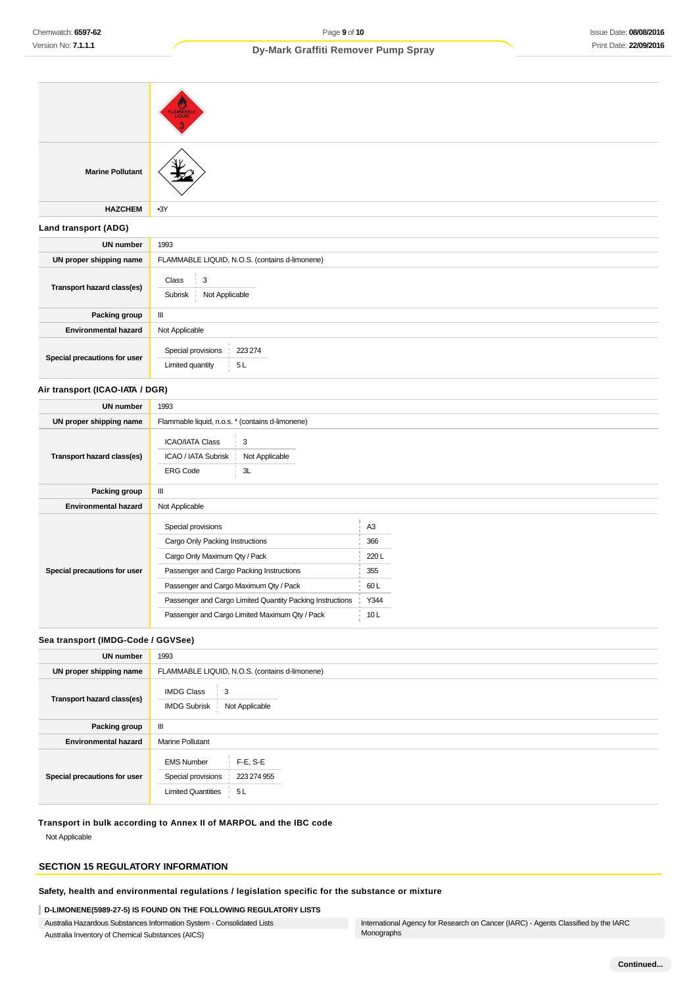| <b>Marine Pollutant</b>            |                                                                                                                                                                                                                                                                                                                                                           |  |  |  |
|------------------------------------|-----------------------------------------------------------------------------------------------------------------------------------------------------------------------------------------------------------------------------------------------------------------------------------------------------------------------------------------------------------|--|--|--|
| <b>HAZCHEM</b>                     | $-3Y$                                                                                                                                                                                                                                                                                                                                                     |  |  |  |
| Land transport (ADG)               |                                                                                                                                                                                                                                                                                                                                                           |  |  |  |
| <b>UN number</b>                   | 1993                                                                                                                                                                                                                                                                                                                                                      |  |  |  |
| UN proper shipping name            | FLAMMABLE LIQUID, N.O.S. (contains d-limonene)                                                                                                                                                                                                                                                                                                            |  |  |  |
| Transport hazard class(es)         | $\mathbf{3}$<br>Class<br>Subrisk<br>Not Applicable                                                                                                                                                                                                                                                                                                        |  |  |  |
| Packing group                      | $\ensuremath{\mathsf{III}}\xspace$                                                                                                                                                                                                                                                                                                                        |  |  |  |
| <b>Environmental hazard</b>        | Not Applicable                                                                                                                                                                                                                                                                                                                                            |  |  |  |
| Special precautions for user       | 223 274<br>Special provisions<br>Limited quantity<br>5L                                                                                                                                                                                                                                                                                                   |  |  |  |
| Air transport (ICAO-IATA / DGR)    |                                                                                                                                                                                                                                                                                                                                                           |  |  |  |
| <b>UN number</b>                   | 1993                                                                                                                                                                                                                                                                                                                                                      |  |  |  |
| UN proper shipping name            | Flammable liquid, n.o.s. * (contains d-limonene)                                                                                                                                                                                                                                                                                                          |  |  |  |
| Transport hazard class(es)         | 3<br><b>ICAO/IATA Class</b><br>ICAO / IATA Subrisk<br>Not Applicable<br><b>ERG Code</b><br>3L                                                                                                                                                                                                                                                             |  |  |  |
| Packing group                      | Ш                                                                                                                                                                                                                                                                                                                                                         |  |  |  |
| <b>Environmental hazard</b>        | Not Applicable                                                                                                                                                                                                                                                                                                                                            |  |  |  |
| Special precautions for user       | Special provisions<br>A <sub>3</sub><br>Cargo Only Packing Instructions<br>366<br>Cargo Only Maximum Qty / Pack<br>220L<br>Passenger and Cargo Packing Instructions<br>355<br>Passenger and Cargo Maximum Qty / Pack<br>60L<br>Passenger and Cargo Limited Quantity Packing Instructions<br>Y344<br>Passenger and Cargo Limited Maximum Qty / Pack<br>10L |  |  |  |
| Sea transport (IMDG-Code / GGVSee) |                                                                                                                                                                                                                                                                                                                                                           |  |  |  |
| $11111$ $1000$                     |                                                                                                                                                                                                                                                                                                                                                           |  |  |  |

# **UN number** 1993 **UN proper shipping name** FLAMMABLE LIQUID, N.O.S. (contains d-limonene) **Transport hazard class(es)** IMDG Class 3 IMDG Subrisk Not Applicable **Packing group** III **Environmental hazard** Marine Pollutant **Special precautions for user** EMS Number F-E, S-E Special provisions 223 274 955 Limited Quantities 5L

**Transport in bulk according to Annex II of MARPOL and the IBC code**

Not Applicable

# **SECTION 15 REGULATORY INFORMATION**

**Safety, health and environmental regulations / legislation specific for the substance or mixture**

# **D-LIMONENE(5989-27-5) IS FOUND ON THE FOLLOWING REGULATORY LISTS**

Australia Hazardous Substances Information System - Consolidated Lists Australia Inventory of Chemical Substances (AICS)